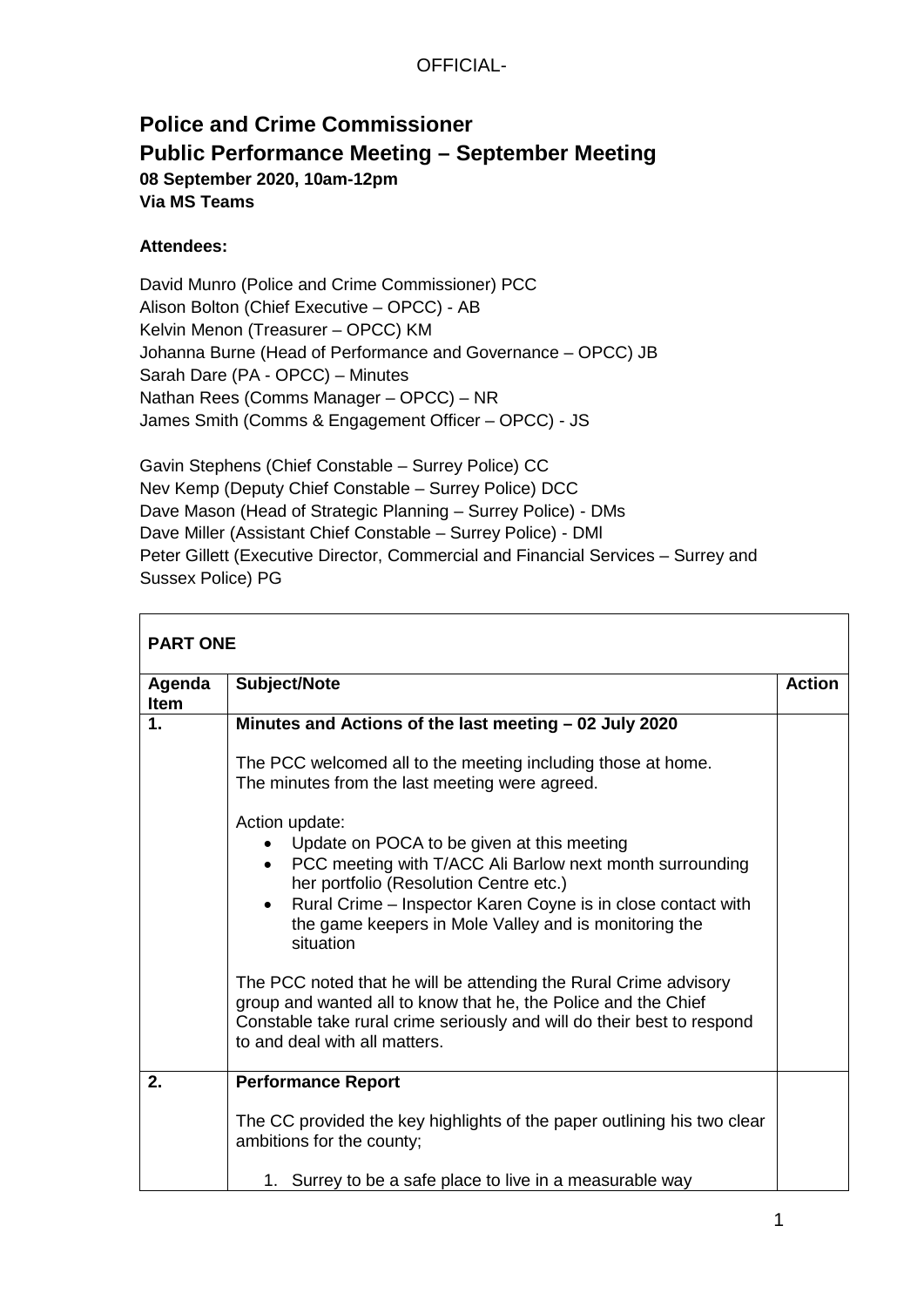# **Police and Crime Commissioner Public Performance Meeting – September Meeting 08 September 2020, 10am-12pm Via MS Teams**

#### **Attendees:**

David Munro (Police and Crime Commissioner) PCC Alison Bolton (Chief Executive – OPCC) - AB Kelvin Menon (Treasurer – OPCC) KM Johanna Burne (Head of Performance and Governance – OPCC) JB Sarah Dare (PA - OPCC) – Minutes Nathan Rees (Comms Manager – OPCC) – NR James Smith (Comms & Engagement Officer – OPCC) - JS

Gavin Stephens (Chief Constable – Surrey Police) CC Nev Kemp (Deputy Chief Constable – Surrey Police) DCC Dave Mason (Head of Strategic Planning – Surrey Police) - DMs Dave Miller (Assistant Chief Constable – Surrey Police) - DMl Peter Gillett (Executive Director, Commercial and Financial Services – Surrey and Sussex Police) PG

| <b>PART ONE</b>       |                                                                                                                                                                                                                                                                                                                         |               |
|-----------------------|-------------------------------------------------------------------------------------------------------------------------------------------------------------------------------------------------------------------------------------------------------------------------------------------------------------------------|---------------|
| Agenda<br><b>Item</b> | Subject/Note                                                                                                                                                                                                                                                                                                            | <b>Action</b> |
| 1.                    | Minutes and Actions of the last meeting - 02 July 2020                                                                                                                                                                                                                                                                  |               |
|                       | The PCC welcomed all to the meeting including those at home.<br>The minutes from the last meeting were agreed.                                                                                                                                                                                                          |               |
|                       | Action update:<br>Update on POCA to be given at this meeting<br>• PCC meeting with T/ACC Ali Barlow next month surrounding<br>her portfolio (Resolution Centre etc.)<br>Rural Crime – Inspector Karen Coyne is in close contact with<br>$\bullet$<br>the game keepers in Mole Valley and is monitoring the<br>situation |               |
|                       | The PCC noted that he will be attending the Rural Crime advisory<br>group and wanted all to know that he, the Police and the Chief<br>Constable take rural crime seriously and will do their best to respond<br>to and deal with all matters.                                                                           |               |
| 2.                    | <b>Performance Report</b>                                                                                                                                                                                                                                                                                               |               |
|                       | The CC provided the key highlights of the paper outlining his two clear<br>ambitions for the county;                                                                                                                                                                                                                    |               |
|                       | 1. Surrey to be a safe place to live in a measurable way                                                                                                                                                                                                                                                                |               |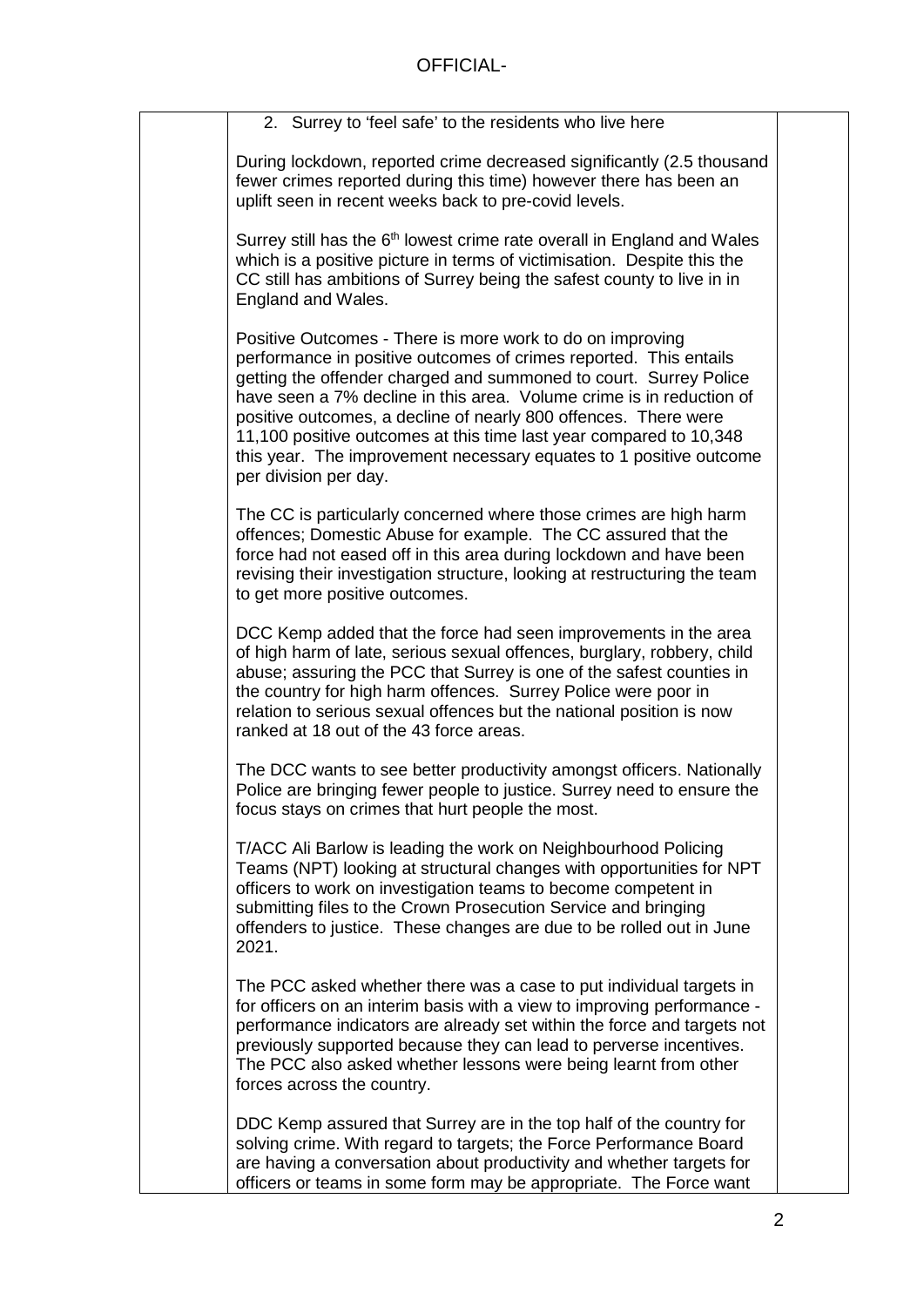| 2. Surrey to 'feel safe' to the residents who live here                                                                                                                                                                                                                                                                                                                                                                                                                                                             |  |
|---------------------------------------------------------------------------------------------------------------------------------------------------------------------------------------------------------------------------------------------------------------------------------------------------------------------------------------------------------------------------------------------------------------------------------------------------------------------------------------------------------------------|--|
| During lockdown, reported crime decreased significantly (2.5 thousand<br>fewer crimes reported during this time) however there has been an<br>uplift seen in recent weeks back to pre-covid levels.                                                                                                                                                                                                                                                                                                                 |  |
| Surrey still has the 6 <sup>th</sup> lowest crime rate overall in England and Wales<br>which is a positive picture in terms of victimisation. Despite this the<br>CC still has ambitions of Surrey being the safest county to live in in<br>England and Wales.                                                                                                                                                                                                                                                      |  |
| Positive Outcomes - There is more work to do on improving<br>performance in positive outcomes of crimes reported. This entails<br>getting the offender charged and summoned to court. Surrey Police<br>have seen a 7% decline in this area. Volume crime is in reduction of<br>positive outcomes, a decline of nearly 800 offences. There were<br>11,100 positive outcomes at this time last year compared to 10,348<br>this year. The improvement necessary equates to 1 positive outcome<br>per division per day. |  |
| The CC is particularly concerned where those crimes are high harm<br>offences; Domestic Abuse for example. The CC assured that the<br>force had not eased off in this area during lockdown and have been<br>revising their investigation structure, looking at restructuring the team<br>to get more positive outcomes.                                                                                                                                                                                             |  |
| DCC Kemp added that the force had seen improvements in the area<br>of high harm of late, serious sexual offences, burglary, robbery, child<br>abuse; assuring the PCC that Surrey is one of the safest counties in<br>the country for high harm offences. Surrey Police were poor in<br>relation to serious sexual offences but the national position is now<br>ranked at 18 out of the 43 force areas.                                                                                                             |  |
| The DCC wants to see better productivity amongst officers. Nationally<br>Police are bringing fewer people to justice. Surrey need to ensure the<br>focus stays on crimes that hurt people the most.                                                                                                                                                                                                                                                                                                                 |  |
| T/ACC Ali Barlow is leading the work on Neighbourhood Policing<br>Teams (NPT) looking at structural changes with opportunities for NPT<br>officers to work on investigation teams to become competent in<br>submitting files to the Crown Prosecution Service and bringing<br>offenders to justice. These changes are due to be rolled out in June<br>2021.                                                                                                                                                         |  |
| The PCC asked whether there was a case to put individual targets in<br>for officers on an interim basis with a view to improving performance -<br>performance indicators are already set within the force and targets not<br>previously supported because they can lead to perverse incentives.<br>The PCC also asked whether lessons were being learnt from other<br>forces across the country.                                                                                                                    |  |
| DDC Kemp assured that Surrey are in the top half of the country for<br>solving crime. With regard to targets; the Force Performance Board<br>are having a conversation about productivity and whether targets for<br>officers or teams in some form may be appropriate. The Force want                                                                                                                                                                                                                              |  |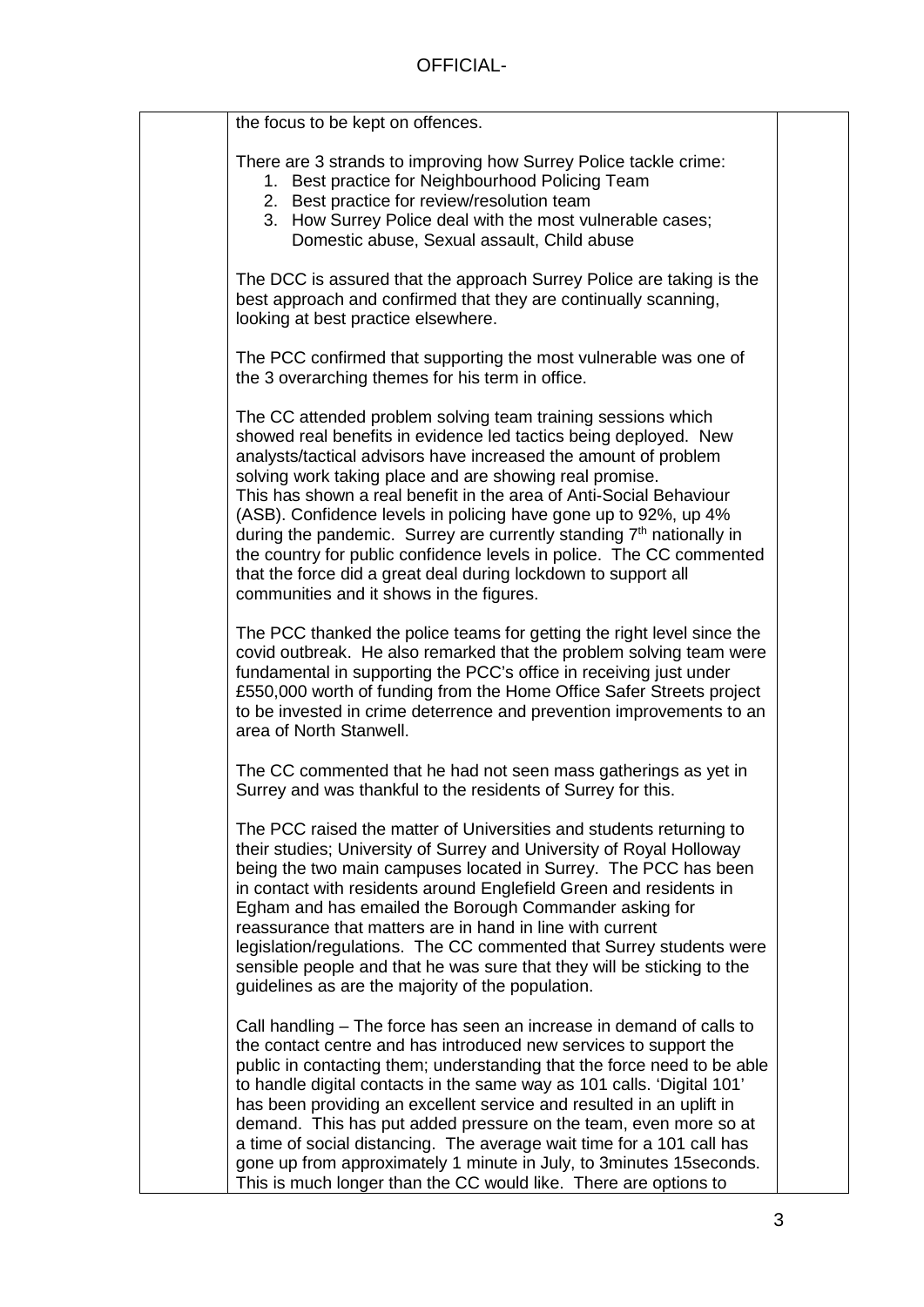| the focus to be kept on offences.                                                                                                                                                                                                                                                                                                                                                                                                                                                                                                                                                                                                                                                 |  |
|-----------------------------------------------------------------------------------------------------------------------------------------------------------------------------------------------------------------------------------------------------------------------------------------------------------------------------------------------------------------------------------------------------------------------------------------------------------------------------------------------------------------------------------------------------------------------------------------------------------------------------------------------------------------------------------|--|
| There are 3 strands to improving how Surrey Police tackle crime:<br>1. Best practice for Neighbourhood Policing Team<br>2. Best practice for review/resolution team<br>3. How Surrey Police deal with the most vulnerable cases;<br>Domestic abuse, Sexual assault, Child abuse                                                                                                                                                                                                                                                                                                                                                                                                   |  |
| The DCC is assured that the approach Surrey Police are taking is the<br>best approach and confirmed that they are continually scanning,<br>looking at best practice elsewhere.                                                                                                                                                                                                                                                                                                                                                                                                                                                                                                    |  |
| The PCC confirmed that supporting the most vulnerable was one of<br>the 3 overarching themes for his term in office.                                                                                                                                                                                                                                                                                                                                                                                                                                                                                                                                                              |  |
| The CC attended problem solving team training sessions which<br>showed real benefits in evidence led tactics being deployed. New<br>analysts/tactical advisors have increased the amount of problem<br>solving work taking place and are showing real promise.<br>This has shown a real benefit in the area of Anti-Social Behaviour<br>(ASB). Confidence levels in policing have gone up to 92%, up 4%<br>during the pandemic. Surrey are currently standing 7 <sup>th</sup> nationally in<br>the country for public confidence levels in police. The CC commented<br>that the force did a great deal during lockdown to support all<br>communities and it shows in the figures. |  |
| The PCC thanked the police teams for getting the right level since the<br>covid outbreak. He also remarked that the problem solving team were<br>fundamental in supporting the PCC's office in receiving just under<br>£550,000 worth of funding from the Home Office Safer Streets project<br>to be invested in crime deterrence and prevention improvements to an<br>area of North Stanwell.                                                                                                                                                                                                                                                                                    |  |
| The CC commented that he had not seen mass gatherings as yet in<br>Surrey and was thankful to the residents of Surrey for this.                                                                                                                                                                                                                                                                                                                                                                                                                                                                                                                                                   |  |
| The PCC raised the matter of Universities and students returning to<br>their studies; University of Surrey and University of Royal Holloway<br>being the two main campuses located in Surrey. The PCC has been<br>in contact with residents around Englefield Green and residents in<br>Egham and has emailed the Borough Commander asking for<br>reassurance that matters are in hand in line with current<br>legislation/regulations. The CC commented that Surrey students were<br>sensible people and that he was sure that they will be sticking to the<br>guidelines as are the majority of the population.                                                                 |  |
| Call handling – The force has seen an increase in demand of calls to<br>the contact centre and has introduced new services to support the<br>public in contacting them; understanding that the force need to be able<br>to handle digital contacts in the same way as 101 calls. 'Digital 101'<br>has been providing an excellent service and resulted in an uplift in<br>demand. This has put added pressure on the team, even more so at<br>a time of social distancing. The average wait time for a 101 call has<br>gone up from approximately 1 minute in July, to 3 minutes 15 seconds.<br>This is much longer than the CC would like. There are options to                  |  |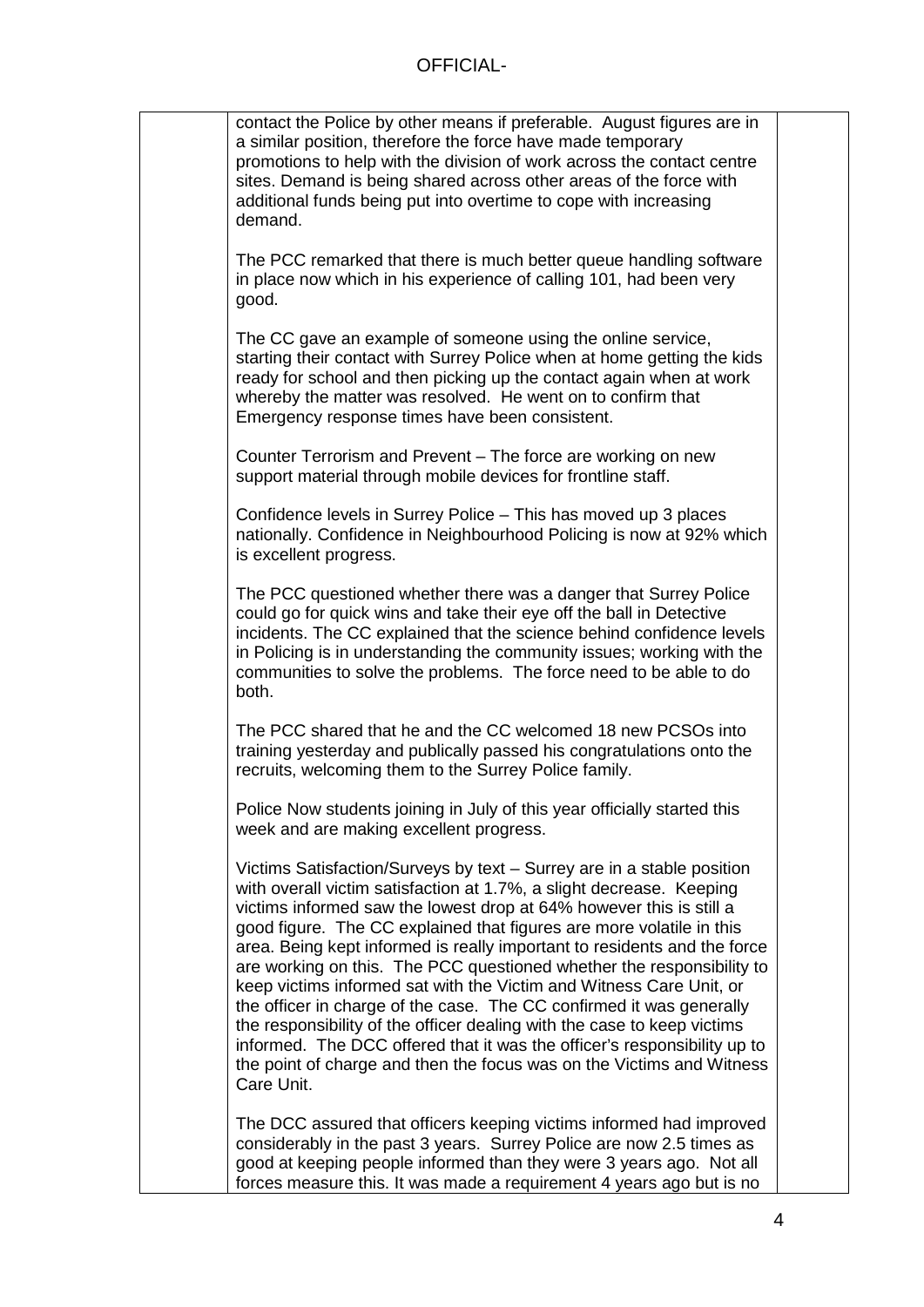| contact the Police by other means if preferable. August figures are in<br>a similar position, therefore the force have made temporary<br>promotions to help with the division of work across the contact centre<br>sites. Demand is being shared across other areas of the force with<br>additional funds being put into overtime to cope with increasing<br>demand.                                                                                                                                                                                                                                                                                                                                                                                                                                                                            |
|-------------------------------------------------------------------------------------------------------------------------------------------------------------------------------------------------------------------------------------------------------------------------------------------------------------------------------------------------------------------------------------------------------------------------------------------------------------------------------------------------------------------------------------------------------------------------------------------------------------------------------------------------------------------------------------------------------------------------------------------------------------------------------------------------------------------------------------------------|
| The PCC remarked that there is much better queue handling software<br>in place now which in his experience of calling 101, had been very<br>good.                                                                                                                                                                                                                                                                                                                                                                                                                                                                                                                                                                                                                                                                                               |
| The CC gave an example of someone using the online service,<br>starting their contact with Surrey Police when at home getting the kids<br>ready for school and then picking up the contact again when at work<br>whereby the matter was resolved. He went on to confirm that<br>Emergency response times have been consistent.                                                                                                                                                                                                                                                                                                                                                                                                                                                                                                                  |
| Counter Terrorism and Prevent – The force are working on new<br>support material through mobile devices for frontline staff.                                                                                                                                                                                                                                                                                                                                                                                                                                                                                                                                                                                                                                                                                                                    |
| Confidence levels in Surrey Police - This has moved up 3 places<br>nationally. Confidence in Neighbourhood Policing is now at 92% which<br>is excellent progress.                                                                                                                                                                                                                                                                                                                                                                                                                                                                                                                                                                                                                                                                               |
| The PCC questioned whether there was a danger that Surrey Police<br>could go for quick wins and take their eye off the ball in Detective<br>incidents. The CC explained that the science behind confidence levels<br>in Policing is in understanding the community issues; working with the<br>communities to solve the problems. The force need to be able to do<br>both.                                                                                                                                                                                                                                                                                                                                                                                                                                                                      |
| The PCC shared that he and the CC welcomed 18 new PCSOs into<br>training yesterday and publically passed his congratulations onto the<br>recruits, welcoming them to the Surrey Police family.                                                                                                                                                                                                                                                                                                                                                                                                                                                                                                                                                                                                                                                  |
| Police Now students joining in July of this year officially started this<br>week and are making excellent progress.                                                                                                                                                                                                                                                                                                                                                                                                                                                                                                                                                                                                                                                                                                                             |
| Victims Satisfaction/Surveys by text - Surrey are in a stable position<br>with overall victim satisfaction at 1.7%, a slight decrease. Keeping<br>victims informed saw the lowest drop at 64% however this is still a<br>good figure. The CC explained that figures are more volatile in this<br>area. Being kept informed is really important to residents and the force<br>are working on this. The PCC questioned whether the responsibility to<br>keep victims informed sat with the Victim and Witness Care Unit, or<br>the officer in charge of the case. The CC confirmed it was generally<br>the responsibility of the officer dealing with the case to keep victims<br>informed. The DCC offered that it was the officer's responsibility up to<br>the point of charge and then the focus was on the Victims and Witness<br>Care Unit. |
| The DCC assured that officers keeping victims informed had improved<br>considerably in the past 3 years. Surrey Police are now 2.5 times as<br>good at keeping people informed than they were 3 years ago. Not all<br>forces measure this. It was made a requirement 4 years ago but is no                                                                                                                                                                                                                                                                                                                                                                                                                                                                                                                                                      |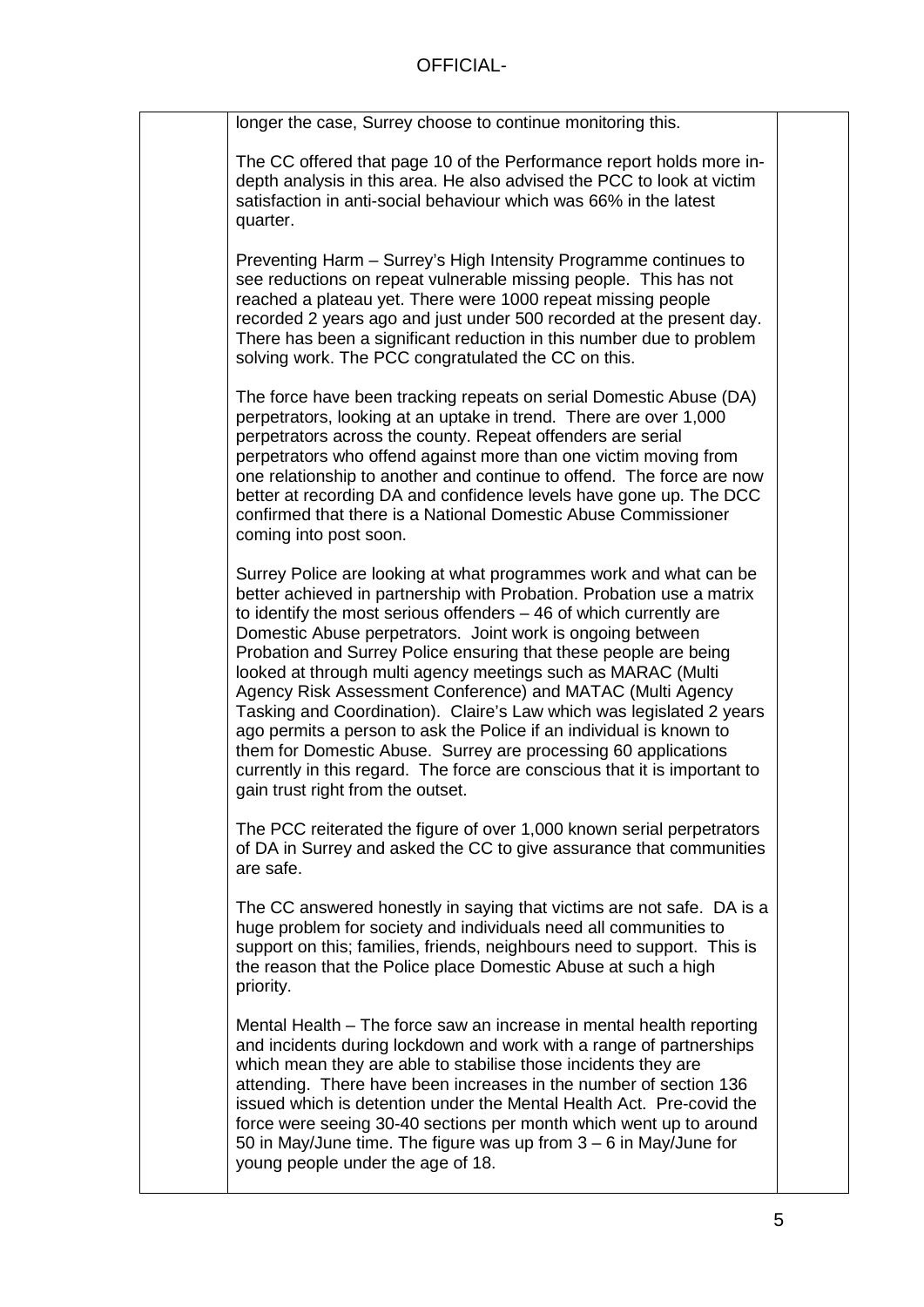| longer the case, Surrey choose to continue monitoring this.                                                                                                                                                                                                                                                                                                                                                                                                                                                                                                                                                                                                                                                                                                                                                          |  |
|----------------------------------------------------------------------------------------------------------------------------------------------------------------------------------------------------------------------------------------------------------------------------------------------------------------------------------------------------------------------------------------------------------------------------------------------------------------------------------------------------------------------------------------------------------------------------------------------------------------------------------------------------------------------------------------------------------------------------------------------------------------------------------------------------------------------|--|
| The CC offered that page 10 of the Performance report holds more in-<br>depth analysis in this area. He also advised the PCC to look at victim<br>satisfaction in anti-social behaviour which was 66% in the latest<br>quarter.                                                                                                                                                                                                                                                                                                                                                                                                                                                                                                                                                                                      |  |
| Preventing Harm - Surrey's High Intensity Programme continues to<br>see reductions on repeat vulnerable missing people. This has not<br>reached a plateau yet. There were 1000 repeat missing people<br>recorded 2 years ago and just under 500 recorded at the present day.<br>There has been a significant reduction in this number due to problem<br>solving work. The PCC congratulated the CC on this.                                                                                                                                                                                                                                                                                                                                                                                                          |  |
| The force have been tracking repeats on serial Domestic Abuse (DA)<br>perpetrators, looking at an uptake in trend. There are over 1,000<br>perpetrators across the county. Repeat offenders are serial<br>perpetrators who offend against more than one victim moving from<br>one relationship to another and continue to offend. The force are now<br>better at recording DA and confidence levels have gone up. The DCC<br>confirmed that there is a National Domestic Abuse Commissioner<br>coming into post soon.                                                                                                                                                                                                                                                                                                |  |
| Surrey Police are looking at what programmes work and what can be<br>better achieved in partnership with Probation. Probation use a matrix<br>to identify the most serious offenders $-46$ of which currently are<br>Domestic Abuse perpetrators. Joint work is ongoing between<br>Probation and Surrey Police ensuring that these people are being<br>looked at through multi agency meetings such as MARAC (Multi<br>Agency Risk Assessment Conference) and MATAC (Multi Agency<br>Tasking and Coordination). Claire's Law which was legislated 2 years<br>ago permits a person to ask the Police if an individual is known to<br>them for Domestic Abuse. Surrey are processing 60 applications<br>currently in this regard. The force are conscious that it is important to<br>gain trust right from the outset. |  |
| The PCC reiterated the figure of over 1,000 known serial perpetrators<br>of DA in Surrey and asked the CC to give assurance that communities<br>are safe.                                                                                                                                                                                                                                                                                                                                                                                                                                                                                                                                                                                                                                                            |  |
| The CC answered honestly in saying that victims are not safe. DA is a<br>huge problem for society and individuals need all communities to<br>support on this; families, friends, neighbours need to support. This is<br>the reason that the Police place Domestic Abuse at such a high<br>priority.                                                                                                                                                                                                                                                                                                                                                                                                                                                                                                                  |  |
| Mental Health – The force saw an increase in mental health reporting<br>and incidents during lockdown and work with a range of partnerships<br>which mean they are able to stabilise those incidents they are<br>attending. There have been increases in the number of section 136<br>issued which is detention under the Mental Health Act. Pre-covid the<br>force were seeing 30-40 sections per month which went up to around<br>50 in May/June time. The figure was up from 3 – 6 in May/June for<br>young people under the age of 18.                                                                                                                                                                                                                                                                           |  |
|                                                                                                                                                                                                                                                                                                                                                                                                                                                                                                                                                                                                                                                                                                                                                                                                                      |  |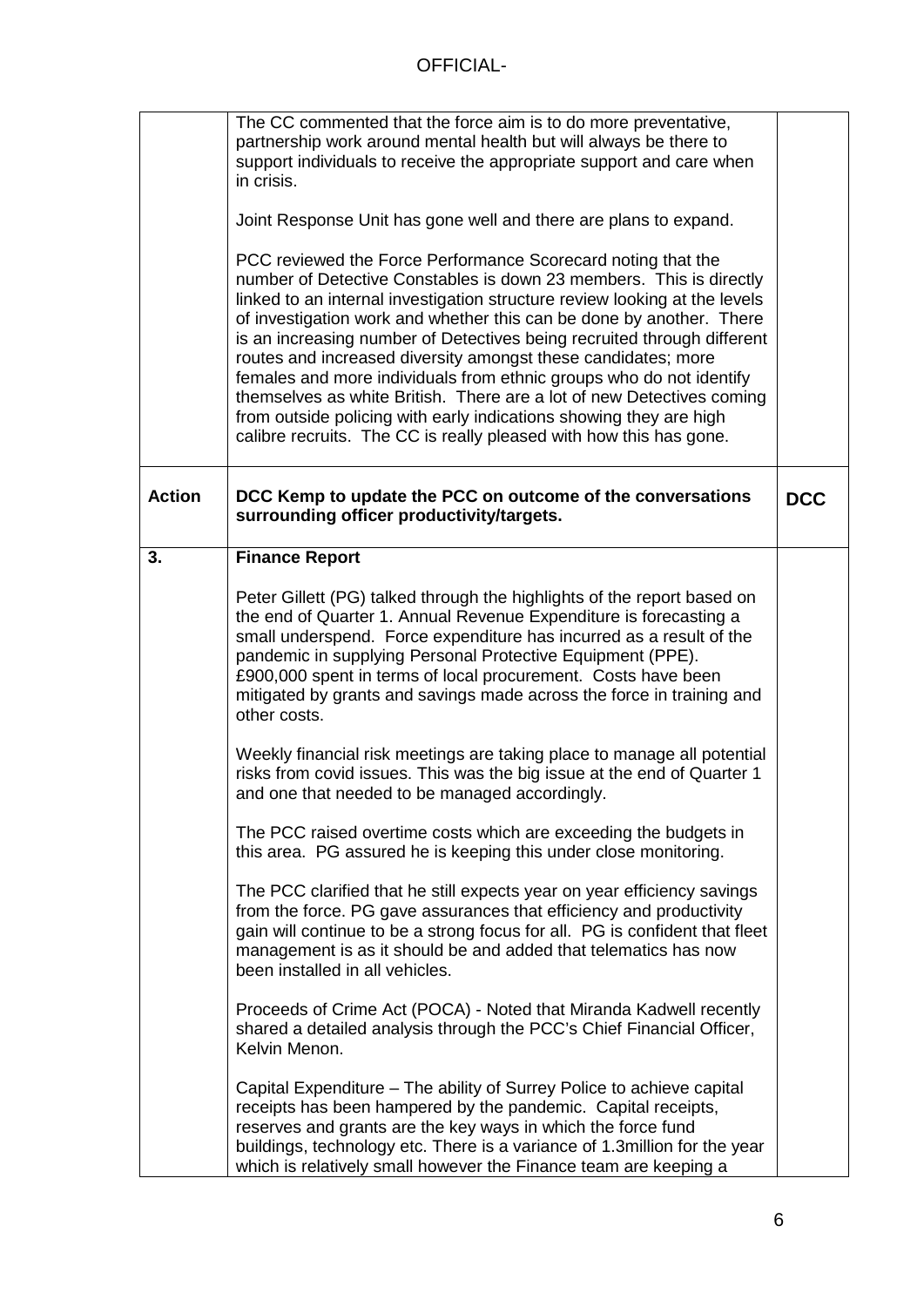|               | The CC commented that the force aim is to do more preventative,<br>partnership work around mental health but will always be there to<br>support individuals to receive the appropriate support and care when<br>in crisis.                                                                                                                                                                                                                                                                                                                                                                                                                                                                                                        |            |
|---------------|-----------------------------------------------------------------------------------------------------------------------------------------------------------------------------------------------------------------------------------------------------------------------------------------------------------------------------------------------------------------------------------------------------------------------------------------------------------------------------------------------------------------------------------------------------------------------------------------------------------------------------------------------------------------------------------------------------------------------------------|------------|
|               | Joint Response Unit has gone well and there are plans to expand.                                                                                                                                                                                                                                                                                                                                                                                                                                                                                                                                                                                                                                                                  |            |
|               | PCC reviewed the Force Performance Scorecard noting that the<br>number of Detective Constables is down 23 members. This is directly<br>linked to an internal investigation structure review looking at the levels<br>of investigation work and whether this can be done by another. There<br>is an increasing number of Detectives being recruited through different<br>routes and increased diversity amongst these candidates; more<br>females and more individuals from ethnic groups who do not identify<br>themselves as white British. There are a lot of new Detectives coming<br>from outside policing with early indications showing they are high<br>calibre recruits. The CC is really pleased with how this has gone. |            |
| <b>Action</b> | DCC Kemp to update the PCC on outcome of the conversations<br>surrounding officer productivity/targets.                                                                                                                                                                                                                                                                                                                                                                                                                                                                                                                                                                                                                           | <b>DCC</b> |
| 3.            | <b>Finance Report</b>                                                                                                                                                                                                                                                                                                                                                                                                                                                                                                                                                                                                                                                                                                             |            |
|               | Peter Gillett (PG) talked through the highlights of the report based on<br>the end of Quarter 1. Annual Revenue Expenditure is forecasting a<br>small underspend. Force expenditure has incurred as a result of the<br>pandemic in supplying Personal Protective Equipment (PPE).<br>£900,000 spent in terms of local procurement. Costs have been<br>mitigated by grants and savings made across the force in training and<br>other costs.                                                                                                                                                                                                                                                                                       |            |
|               | Weekly financial risk meetings are taking place to manage all potential<br>risks from covid issues. This was the big issue at the end of Quarter 1<br>and one that needed to be managed accordingly.                                                                                                                                                                                                                                                                                                                                                                                                                                                                                                                              |            |
|               | The PCC raised overtime costs which are exceeding the budgets in<br>this area. PG assured he is keeping this under close monitoring.                                                                                                                                                                                                                                                                                                                                                                                                                                                                                                                                                                                              |            |
|               | The PCC clarified that he still expects year on year efficiency savings<br>from the force. PG gave assurances that efficiency and productivity<br>gain will continue to be a strong focus for all. PG is confident that fleet<br>management is as it should be and added that telematics has now<br>been installed in all vehicles.                                                                                                                                                                                                                                                                                                                                                                                               |            |
|               | Proceeds of Crime Act (POCA) - Noted that Miranda Kadwell recently<br>shared a detailed analysis through the PCC's Chief Financial Officer,<br>Kelvin Menon.                                                                                                                                                                                                                                                                                                                                                                                                                                                                                                                                                                      |            |
|               | Capital Expenditure – The ability of Surrey Police to achieve capital<br>receipts has been hampered by the pandemic. Capital receipts,<br>reserves and grants are the key ways in which the force fund<br>buildings, technology etc. There is a variance of 1.3 million for the year<br>which is relatively small however the Finance team are keeping a                                                                                                                                                                                                                                                                                                                                                                          |            |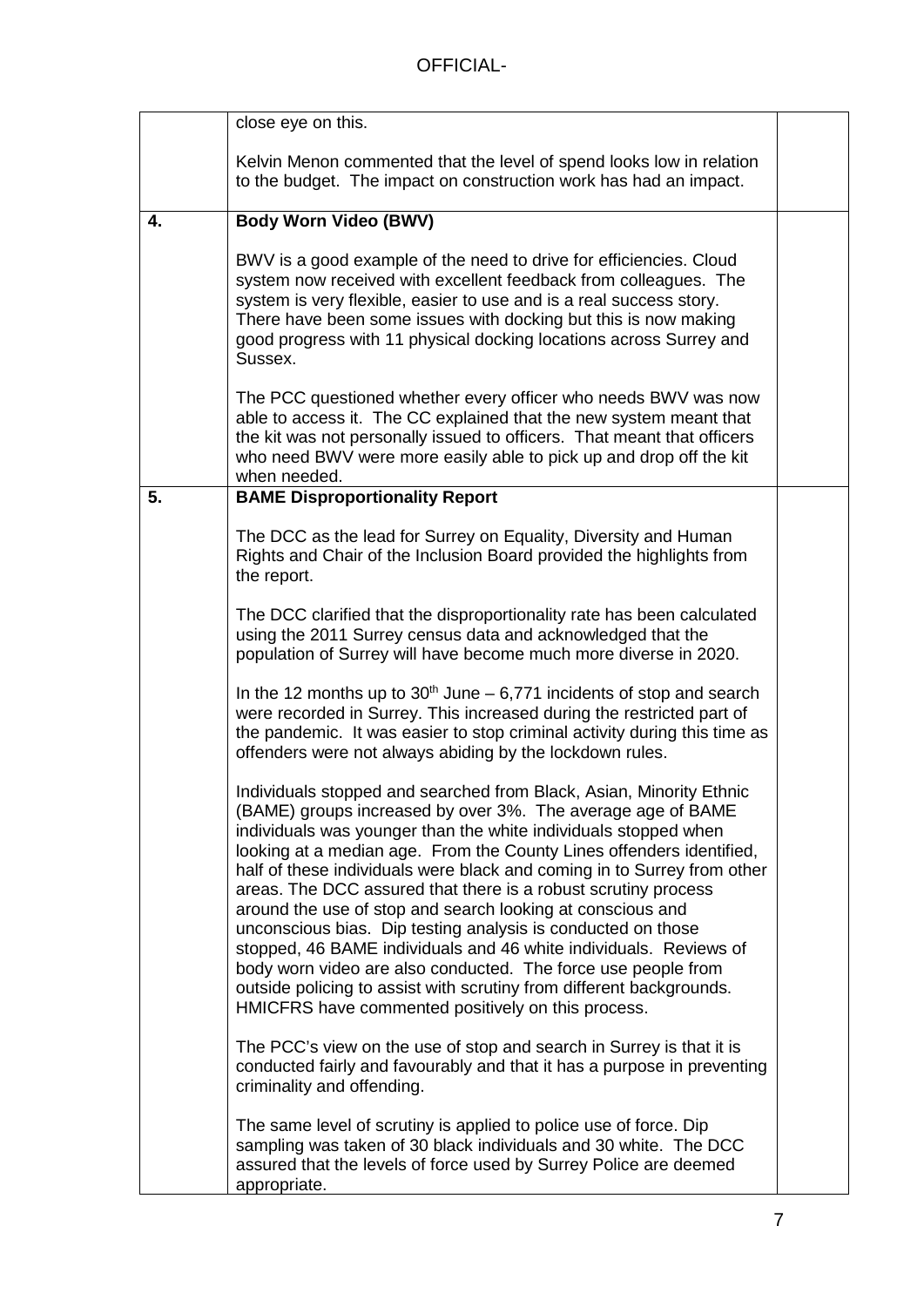|    | close eye on this.                                                                                                                                                                                                                                                                                                                                                                                                                                                                                                                                                                                                                                                                                                                                                                                                           |  |
|----|------------------------------------------------------------------------------------------------------------------------------------------------------------------------------------------------------------------------------------------------------------------------------------------------------------------------------------------------------------------------------------------------------------------------------------------------------------------------------------------------------------------------------------------------------------------------------------------------------------------------------------------------------------------------------------------------------------------------------------------------------------------------------------------------------------------------------|--|
|    | Kelvin Menon commented that the level of spend looks low in relation<br>to the budget. The impact on construction work has had an impact.                                                                                                                                                                                                                                                                                                                                                                                                                                                                                                                                                                                                                                                                                    |  |
| 4. | <b>Body Worn Video (BWV)</b>                                                                                                                                                                                                                                                                                                                                                                                                                                                                                                                                                                                                                                                                                                                                                                                                 |  |
|    | BWV is a good example of the need to drive for efficiencies. Cloud<br>system now received with excellent feedback from colleagues. The<br>system is very flexible, easier to use and is a real success story.<br>There have been some issues with docking but this is now making<br>good progress with 11 physical docking locations across Surrey and<br>Sussex.                                                                                                                                                                                                                                                                                                                                                                                                                                                            |  |
|    | The PCC questioned whether every officer who needs BWV was now<br>able to access it. The CC explained that the new system meant that<br>the kit was not personally issued to officers. That meant that officers<br>who need BWV were more easily able to pick up and drop off the kit<br>when needed.                                                                                                                                                                                                                                                                                                                                                                                                                                                                                                                        |  |
| 5. | <b>BAME Disproportionality Report</b>                                                                                                                                                                                                                                                                                                                                                                                                                                                                                                                                                                                                                                                                                                                                                                                        |  |
|    | The DCC as the lead for Surrey on Equality, Diversity and Human<br>Rights and Chair of the Inclusion Board provided the highlights from<br>the report.                                                                                                                                                                                                                                                                                                                                                                                                                                                                                                                                                                                                                                                                       |  |
|    | The DCC clarified that the disproportionality rate has been calculated<br>using the 2011 Surrey census data and acknowledged that the<br>population of Surrey will have become much more diverse in 2020.                                                                                                                                                                                                                                                                                                                                                                                                                                                                                                                                                                                                                    |  |
|    | In the 12 months up to $30th$ June – 6,771 incidents of stop and search<br>were recorded in Surrey. This increased during the restricted part of<br>the pandemic. It was easier to stop criminal activity during this time as<br>offenders were not always abiding by the lockdown rules.                                                                                                                                                                                                                                                                                                                                                                                                                                                                                                                                    |  |
|    | Individuals stopped and searched from Black, Asian, Minority Ethnic<br>(BAME) groups increased by over 3%. The average age of BAME<br>individuals was younger than the white individuals stopped when<br>looking at a median age. From the County Lines offenders identified,<br>half of these individuals were black and coming in to Surrey from other<br>areas. The DCC assured that there is a robust scrutiny process<br>around the use of stop and search looking at conscious and<br>unconscious bias. Dip testing analysis is conducted on those<br>stopped, 46 BAME individuals and 46 white individuals. Reviews of<br>body worn video are also conducted. The force use people from<br>outside policing to assist with scrutiny from different backgrounds.<br>HMICFRS have commented positively on this process. |  |
|    | The PCC's view on the use of stop and search in Surrey is that it is<br>conducted fairly and favourably and that it has a purpose in preventing<br>criminality and offending.                                                                                                                                                                                                                                                                                                                                                                                                                                                                                                                                                                                                                                                |  |
|    | The same level of scrutiny is applied to police use of force. Dip<br>sampling was taken of 30 black individuals and 30 white. The DCC<br>assured that the levels of force used by Surrey Police are deemed<br>appropriate.                                                                                                                                                                                                                                                                                                                                                                                                                                                                                                                                                                                                   |  |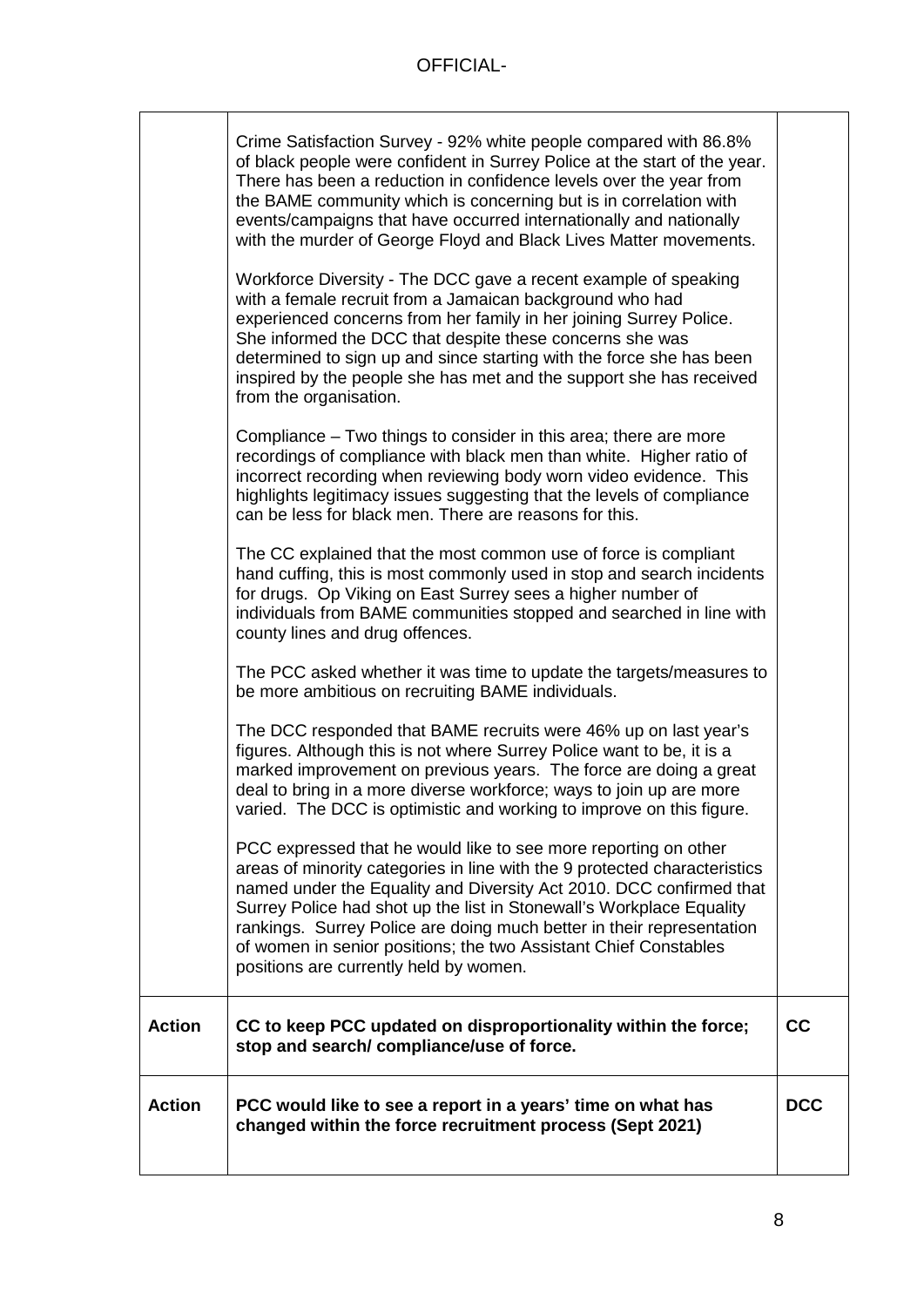|               | Crime Satisfaction Survey - 92% white people compared with 86.8%<br>of black people were confident in Surrey Police at the start of the year.<br>There has been a reduction in confidence levels over the year from<br>the BAME community which is concerning but is in correlation with<br>events/campaigns that have occurred internationally and nationally<br>with the murder of George Floyd and Black Lives Matter movements.<br>Workforce Diversity - The DCC gave a recent example of speaking<br>with a female recruit from a Jamaican background who had<br>experienced concerns from her family in her joining Surrey Police.<br>She informed the DCC that despite these concerns she was<br>determined to sign up and since starting with the force she has been<br>inspired by the people she has met and the support she has received<br>from the organisation.<br>Compliance – Two things to consider in this area; there are more<br>recordings of compliance with black men than white. Higher ratio of<br>incorrect recording when reviewing body worn video evidence. This<br>highlights legitimacy issues suggesting that the levels of compliance<br>can be less for black men. There are reasons for this.<br>The CC explained that the most common use of force is compliant<br>hand cuffing, this is most commonly used in stop and search incidents<br>for drugs. Op Viking on East Surrey sees a higher number of<br>individuals from BAME communities stopped and searched in line with<br>county lines and drug offences.<br>The PCC asked whether it was time to update the targets/measures to<br>be more ambitious on recruiting BAME individuals.<br>The DCC responded that BAME recruits were 46% up on last year's |            |
|---------------|------------------------------------------------------------------------------------------------------------------------------------------------------------------------------------------------------------------------------------------------------------------------------------------------------------------------------------------------------------------------------------------------------------------------------------------------------------------------------------------------------------------------------------------------------------------------------------------------------------------------------------------------------------------------------------------------------------------------------------------------------------------------------------------------------------------------------------------------------------------------------------------------------------------------------------------------------------------------------------------------------------------------------------------------------------------------------------------------------------------------------------------------------------------------------------------------------------------------------------------------------------------------------------------------------------------------------------------------------------------------------------------------------------------------------------------------------------------------------------------------------------------------------------------------------------------------------------------------------------------------------------------------------------------------------------------------------------------------------------------------------|------------|
|               | figures. Although this is not where Surrey Police want to be, it is a<br>marked improvement on previous years. The force are doing a great<br>deal to bring in a more diverse workforce; ways to join up are more<br>varied. The DCC is optimistic and working to improve on this figure.                                                                                                                                                                                                                                                                                                                                                                                                                                                                                                                                                                                                                                                                                                                                                                                                                                                                                                                                                                                                                                                                                                                                                                                                                                                                                                                                                                                                                                                            |            |
|               | PCC expressed that he would like to see more reporting on other<br>areas of minority categories in line with the 9 protected characteristics<br>named under the Equality and Diversity Act 2010. DCC confirmed that<br>Surrey Police had shot up the list in Stonewall's Workplace Equality<br>rankings. Surrey Police are doing much better in their representation<br>of women in senior positions; the two Assistant Chief Constables<br>positions are currently held by women.                                                                                                                                                                                                                                                                                                                                                                                                                                                                                                                                                                                                                                                                                                                                                                                                                                                                                                                                                                                                                                                                                                                                                                                                                                                                   |            |
| <b>Action</b> | CC to keep PCC updated on disproportionality within the force;<br>stop and search/compliance/use of force.                                                                                                                                                                                                                                                                                                                                                                                                                                                                                                                                                                                                                                                                                                                                                                                                                                                                                                                                                                                                                                                                                                                                                                                                                                                                                                                                                                                                                                                                                                                                                                                                                                           | cc         |
| <b>Action</b> | PCC would like to see a report in a years' time on what has<br>changed within the force recruitment process (Sept 2021)                                                                                                                                                                                                                                                                                                                                                                                                                                                                                                                                                                                                                                                                                                                                                                                                                                                                                                                                                                                                                                                                                                                                                                                                                                                                                                                                                                                                                                                                                                                                                                                                                              | <b>DCC</b> |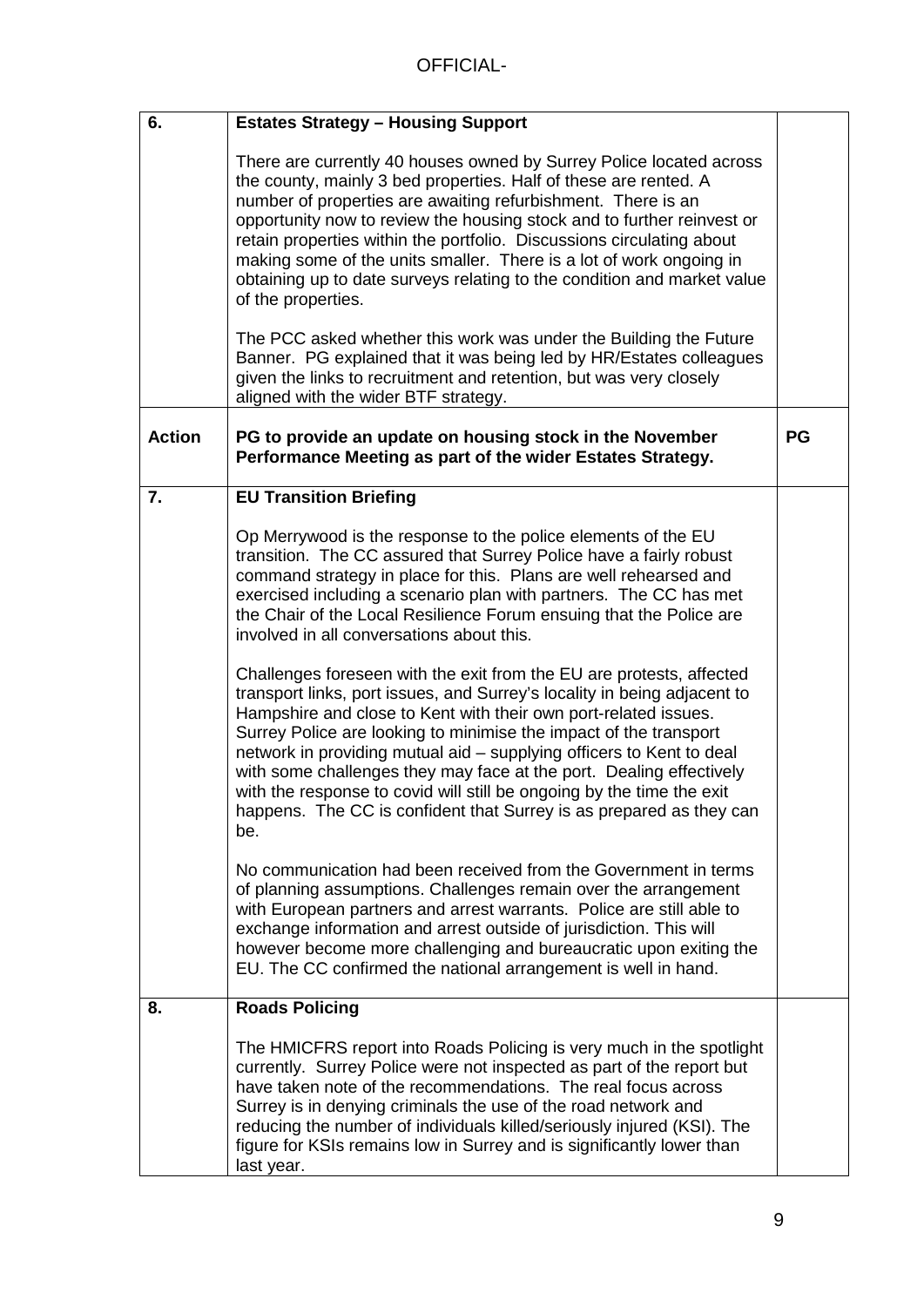| 6.            | <b>Estates Strategy - Housing Support</b>                                                                                                                                                                                                                                                                                                                                                                                                                                                                                                                                                      |    |
|---------------|------------------------------------------------------------------------------------------------------------------------------------------------------------------------------------------------------------------------------------------------------------------------------------------------------------------------------------------------------------------------------------------------------------------------------------------------------------------------------------------------------------------------------------------------------------------------------------------------|----|
|               | There are currently 40 houses owned by Surrey Police located across<br>the county, mainly 3 bed properties. Half of these are rented. A<br>number of properties are awaiting refurbishment. There is an<br>opportunity now to review the housing stock and to further reinvest or<br>retain properties within the portfolio. Discussions circulating about<br>making some of the units smaller. There is a lot of work ongoing in<br>obtaining up to date surveys relating to the condition and market value<br>of the properties.                                                             |    |
|               | The PCC asked whether this work was under the Building the Future<br>Banner. PG explained that it was being led by HR/Estates colleagues<br>given the links to recruitment and retention, but was very closely<br>aligned with the wider BTF strategy.                                                                                                                                                                                                                                                                                                                                         |    |
| <b>Action</b> | PG to provide an update on housing stock in the November<br>Performance Meeting as part of the wider Estates Strategy.                                                                                                                                                                                                                                                                                                                                                                                                                                                                         | PG |
| 7.            | <b>EU Transition Briefing</b>                                                                                                                                                                                                                                                                                                                                                                                                                                                                                                                                                                  |    |
|               | Op Merrywood is the response to the police elements of the EU<br>transition. The CC assured that Surrey Police have a fairly robust<br>command strategy in place for this. Plans are well rehearsed and<br>exercised including a scenario plan with partners. The CC has met<br>the Chair of the Local Resilience Forum ensuing that the Police are<br>involved in all conversations about this.                                                                                                                                                                                               |    |
|               | Challenges foreseen with the exit from the EU are protests, affected<br>transport links, port issues, and Surrey's locality in being adjacent to<br>Hampshire and close to Kent with their own port-related issues.<br>Surrey Police are looking to minimise the impact of the transport<br>network in providing mutual aid - supplying officers to Kent to deal<br>with some challenges they may face at the port. Dealing effectively<br>with the response to covid will still be ongoing by the time the exit<br>happens. The CC is confident that Surrey is as prepared as they can<br>be. |    |
|               | No communication had been received from the Government in terms<br>of planning assumptions. Challenges remain over the arrangement<br>with European partners and arrest warrants. Police are still able to<br>exchange information and arrest outside of jurisdiction. This will<br>however become more challenging and bureaucratic upon exiting the<br>EU. The CC confirmed the national arrangement is well in hand.                                                                                                                                                                        |    |
| 8.            | <b>Roads Policing</b>                                                                                                                                                                                                                                                                                                                                                                                                                                                                                                                                                                          |    |
|               | The HMICFRS report into Roads Policing is very much in the spotlight<br>currently. Surrey Police were not inspected as part of the report but<br>have taken note of the recommendations. The real focus across<br>Surrey is in denying criminals the use of the road network and<br>reducing the number of individuals killed/seriously injured (KSI). The<br>figure for KSIs remains low in Surrey and is significantly lower than<br>last year.                                                                                                                                              |    |